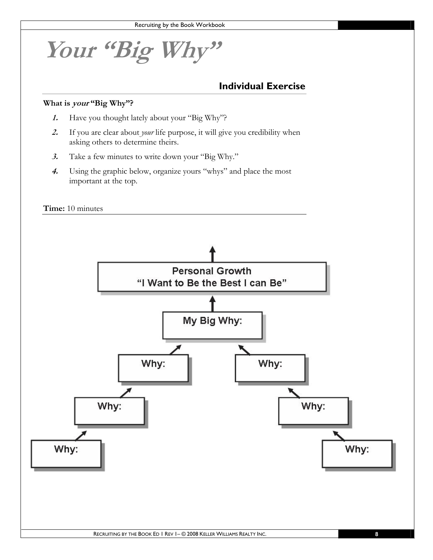**Your "Big Why"** 

#### **Individual Exercise**

#### **What is your "Big Why"?**

- **1.** Have you thought lately about your "Big Why"?
- **2.** If you are clear about *your* life purpose, it will give you credibility when asking others to determine theirs.
- **3.** Take a few minutes to write down your "Big Why."
- **4.** Using the graphic below, organize yours "whys" and place the most important at the top.

**Time:** 10 minutes

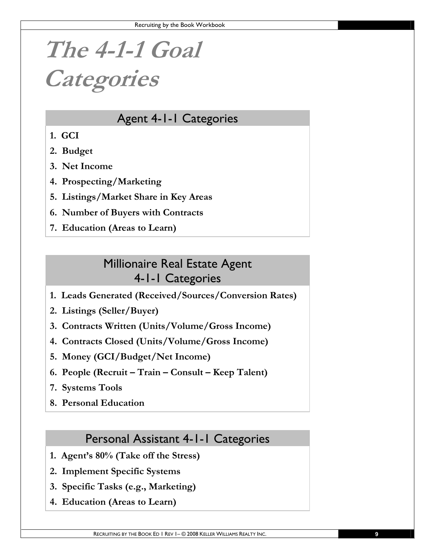# **The 4-1-1 Goal Categories**

## Agent 4-1-1 Categories

- **1. GCI**
- **2. Budget**
- **3. Net Income**
- **4. Prospecting/Marketing**
- **5. Listings/Market Share in Key Areas**
- **6. Number of Buyers with Contracts**
- **7. Education (Areas to Learn)**

## Millionaire Real Estate Agent 4-1-1 Categories

- **1. Leads Generated (Received/Sources/Conversion Rates)**
- **2. Listings (Seller/Buyer)**
- **3. Contracts Written (Units/Volume/Gross Income)**
- **4. Contracts Closed (Units/Volume/Gross Income)**
- **5. Money (GCI/Budget/Net Income)**
- **6. People (Recruit Train Consult Keep Talent)**
- **7. Systems Tools**
- **8. Personal Education**

### Personal Assistant 4-1-1 Categories

- **1. Agent's 80% (Take off the Stress)**
- **2. Implement Specific Systems**
- **3. Specific Tasks (e.g., Marketing)**
- **4. Education (Areas to Learn)**